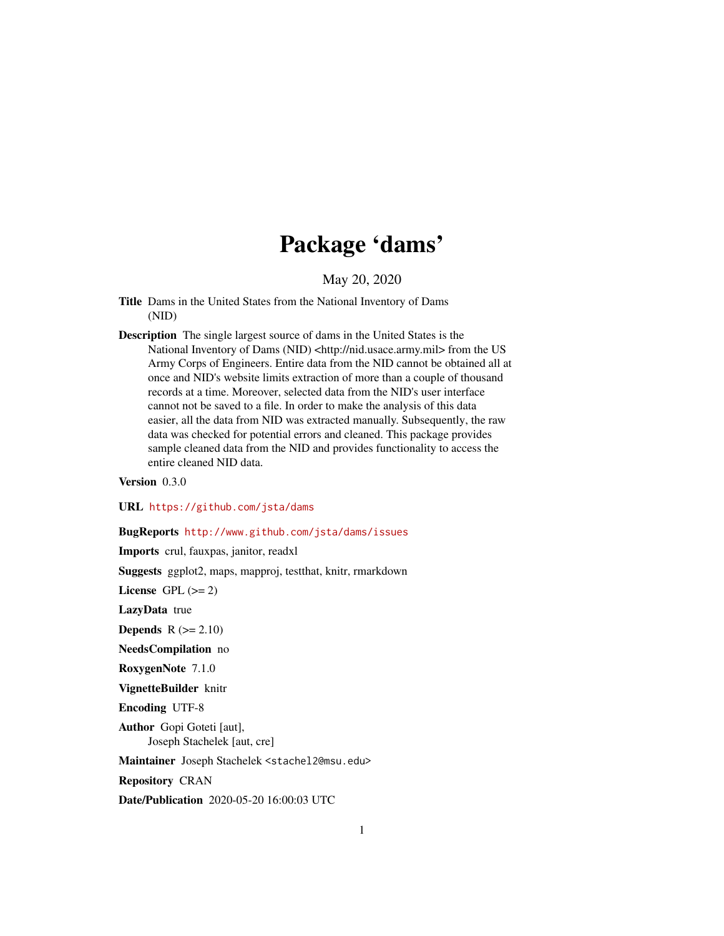## Package 'dams'

May 20, 2020

- Title Dams in the United States from the National Inventory of Dams (NID)
- Description The single largest source of dams in the United States is the National Inventory of Dams (NID) <http://nid.usace.army.mil> from the US Army Corps of Engineers. Entire data from the NID cannot be obtained all at once and NID's website limits extraction of more than a couple of thousand records at a time. Moreover, selected data from the NID's user interface cannot not be saved to a file. In order to make the analysis of this data easier, all the data from NID was extracted manually. Subsequently, the raw data was checked for potential errors and cleaned. This package provides sample cleaned data from the NID and provides functionality to access the entire cleaned NID data.

Version 0.3.0

URL <https://github.com/jsta/dams>

BugReports <http://www.github.com/jsta/dams/issues>

Imports crul, fauxpas, janitor, readxl

Suggests ggplot2, maps, mapproj, testthat, knitr, rmarkdown

License GPL  $(>= 2)$ 

LazyData true

**Depends**  $R$  ( $>= 2.10$ )

NeedsCompilation no

RoxygenNote 7.1.0

VignetteBuilder knitr

Encoding UTF-8

Author Gopi Goteti [aut], Joseph Stachelek [aut, cre]

Maintainer Joseph Stachelek <stachel2@msu.edu>

Repository CRAN

Date/Publication 2020-05-20 16:00:03 UTC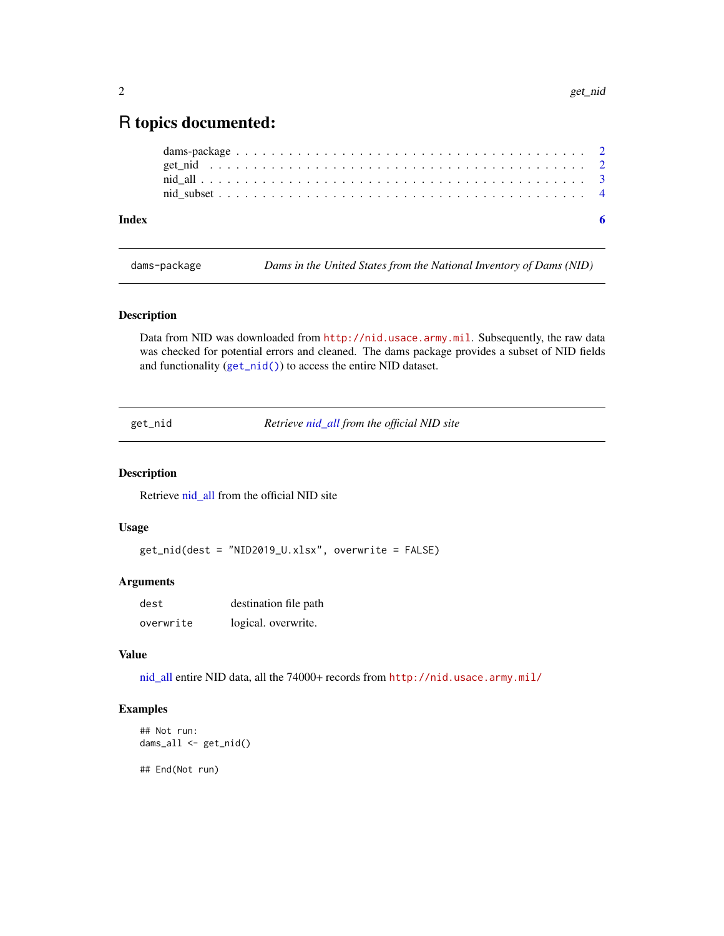### <span id="page-1-0"></span>R topics documented:

| Index |  |  |  |  |  |  |  |  |  |  |  |  |  |  |  |  |  |  |  |
|-------|--|--|--|--|--|--|--|--|--|--|--|--|--|--|--|--|--|--|--|
|       |  |  |  |  |  |  |  |  |  |  |  |  |  |  |  |  |  |  |  |
|       |  |  |  |  |  |  |  |  |  |  |  |  |  |  |  |  |  |  |  |
|       |  |  |  |  |  |  |  |  |  |  |  |  |  |  |  |  |  |  |  |
|       |  |  |  |  |  |  |  |  |  |  |  |  |  |  |  |  |  |  |  |

dams-package *Dams in the United States from the National Inventory of Dams (NID)*

#### Description

Data from NID was downloaded from <http://nid.usace.army.mil>. Subsequently, the raw data was checked for potential errors and cleaned. The dams package provides a subset of NID fields and functionality ([get\\_nid\(\)](#page-1-1)) to access the entire NID dataset.

<span id="page-1-1"></span>get\_nid *Retrieve [nid\\_all](#page-2-1) from the official NID site*

#### Description

Retrieve nid all from the official NID site

#### Usage

get\_nid(dest = "NID2019\_U.xlsx", overwrite = FALSE)

#### Arguments

| dest      | destination file path |
|-----------|-----------------------|
| overwrite | logical. overwrite.   |

#### Value

[nid\\_all](#page-2-1) entire NID data, all the 74000+ records from <http://nid.usace.army.mil/>

#### Examples

```
## Not run:
dams_all <- get_nid()
## End(Not run)
```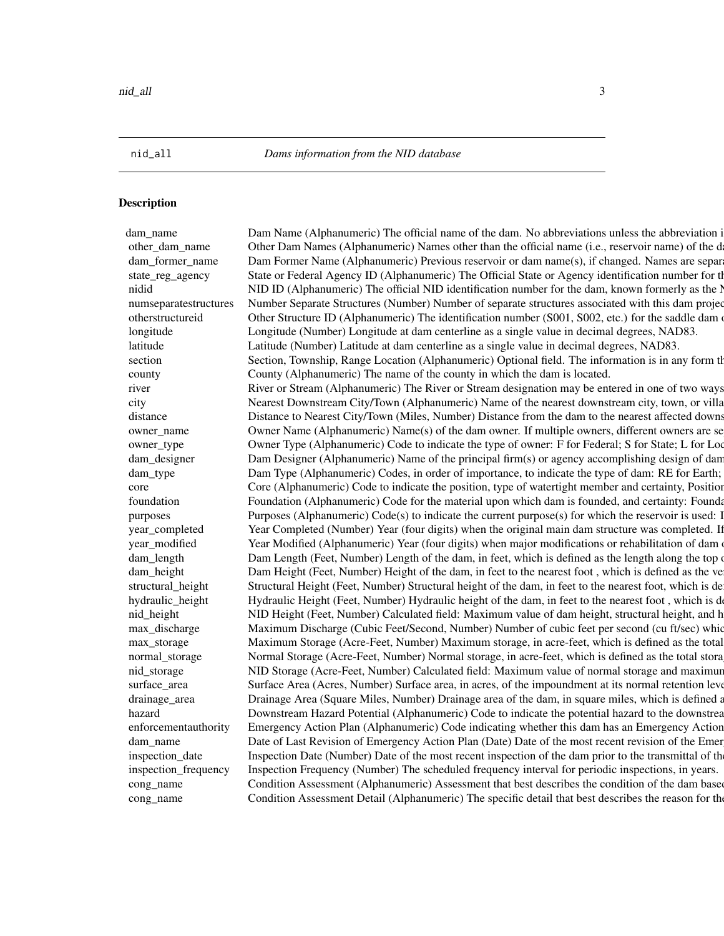<span id="page-2-1"></span>

<span id="page-2-0"></span>nid\_all *Dams information from the NID database*

#### **Description**

dam\_name Dam Name (Alphanumeric) The official name of the dam. No abbreviations unless the abbreviation is other\_dam\_name Other Dam Names (Alphanumeric) Names other than the official name (i.e., reservoir name) of the d dam former name Dam Former Name (Alphanumeric) Previous reservoir or dam name(s), if changed. Names are separ state\_reg\_agency State or Federal Agency ID (Alphanumeric) The Official State or Agency identification number for the dama nidid NID ID (Alphanumeric) The official NID identification number for the dam, known formerly as the l numseparatestructures Number Separate Structures (Number) Number of separate structures associated with this dam projection other structure ID (Alphanumeric) The identification number (S001, S002, etc.) for the saddle dam of longitude Longitude (Number) Longitude at dam centerline as a single value in decimal degrees, NAD83. latitude Latitude (Number) Latitude at dam centerline as a single value in decimal degrees, NAD83. section Section, Township, Range Location (Alphanumeric) Optional field. The information is in any form the county County (Alphanumeric) The name of the county in which the dam is located. river Times of two ways River or Stream (Alphanumeric) The River or Stream designation may be entered in one of two ways city Nearest Downstream City/Town (Alphanumeric) Name of the nearest downstream city, town, or villa distance Distance to Nearest City/Town (Miles, Number) Distance from the dam to the nearest affected downs owner\_name Owner Name (Alphanumeric) Name(s) of the dam owner. If multiple owners, different owners are seemiowner\_type Comer Type (Alphanumeric) Code to indicate the type of owner: F for Federal; S for State; L for Loc dam\_designer Dam Designer (Alphanumeric) Name of the principal firm(s) or agency accomplishing design of dam dam\_type Dam Type (Alphanumeric) Codes, in order of importance, to indicate the type of dam: RE for Earth; core Core (Alphanumeric) Code to indicate the position, type of watertight member and certainty, Position foundation Foundation (Alphanumeric) Code for the material upon which dam is founded, and certainty: Foundation: R purposes Purposes (Alphanumeric) Code(s) to indicate the current purpose(s) for which the reservoir is used: l year\_completed Year Completed (Number) Year (four digits) when the original main dam structure was completed. If year\_modified Year Modified (Alphanumeric) Year (four digits) when major modifications or rehabilitation of dam dam\_length Dam Length (Feet, Number) Length of the dam, in feet, which is defined as the length along the top dam\_height Dam Height (Feet, Number) Height of the dam, in feet to the nearest foot, which is defined as the ve structural\_height Structural Height (Feet, Number) Structural height of the dam, in feet to the nearest foot, which is de hydraulic\_height Hydraulic Height (Feet, Number) Hydraulic height of the dam, in feet to the nearest foot, which is d nid\_height NID Height (Feet, Number) Calculated field: Maximum value of dam height, structural height, and h max\_discharge Maximum Discharge (Cubic Feet/Second, Number) Number of cubic feet per second (cu ft/sec) which max\_storage Maximum Storage (Acre-Feet, Number) Maximum storage, in acre-feet, which is defined as the total normal\_storage Mormal Storage (Acre-Feet, Number) Normal storage, in acre-feet, which is defined as the total stora nid\_storage NID Storage (Acre-Feet, Number) Calculated field: Maximum value of normal storage and maximum surface\_area Surface Area (Acres, Number) Surface area, in acres, of the impoundment at its normal retention level. drainage\_area Drainage Area (Square Miles, Number) Drainage area of the dam, in square miles, which is defined a hazard **Solution** Downstream Hazard Potential (Alphanumeric) Code to indicate the potential hazard to the downstrea enforcementauthority Emergency Action Plan (Alphanumeric) Code indicating whether this dam has an Emergency Action dam\_name Date of Last Revision of Emergency Action Plan (Date) Date of the most recent revision of the Emergency. inspection\_date Inspection Date (Number) Date of the most recent inspection of the dam prior to the transmittal of th inspection\_frequency Inspection Frequency (Number) The scheduled frequency interval for periodic inspections, in years. cong\_name Condition Assessment (Alphanumeric) Assessment that best describes the condition of the dam based cong\_name Condition Assessment Detail (Alphanumeric) The specific detail that best describes the reason for the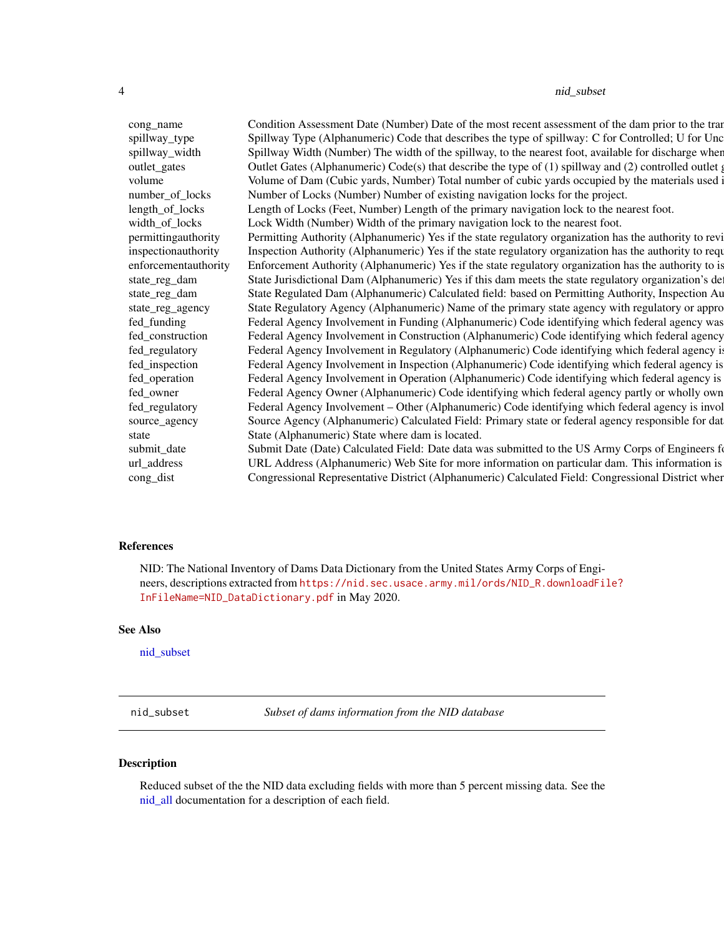#### <span id="page-3-0"></span>4 nid\_subset

cong\_name Condition Assessment Date (Number) Date of the most recent assessment of the dam prior to the transmittal of the submitted agency. spillway\_type Spillway Type (Alphanumeric) Code that describes the type of spillway: C for Controlled; U for Unc spillway\_width Spillway Width (Number) The width of the spillway, to the nearest foot, available for discharge wher outlet Legates Outlet Gates (Alphanumeric) Code(s) that describe the type of (1) spillway and (2) controlled outlet gates, if any  $\alpha$ volume volume of Dam (Cubic yards, Number) Total number of cubic yards occupied by the materials used number\_of\_locks Number of Locks (Number) Number of existing navigation locks for the project. length\_of\_locks Length of Locks (Feet, Number) Length of the primary navigation lock to the nearest foot. width\_of\_locks Lock Width (Number) Width of the primary navigation lock to the nearest foot. permittingauthority Permitting Authority (Alphanumeric) Yes if the state regulatory organization has the authority to revi inspectionauthority Inspection Authority (Alphanumeric) Yes if the state regulatory organization has the authority to requ enforcementauthority Enforcement Authority (Alphanumeric) Yes if the state regulatory organization has the authority to is state\_reg\_dam State Jurisdictional Dam (Alphanumeric) Yes if this dam meets the state regulatory organization's de state\_reg\_dam State Regulated Dam (Alphanumeric) Calculated field: based on Permitting Authority, Inspection Au state\_reg\_agency State Regulatory Agency (Alphanumeric) Name of the primary state agency with regulatory or appro fed\_funding Federal Agency Involvement in Funding (Alphanumeric) Code identifying which federal agency was fed\_construction Federal Agency Involvement in Construction (Alphanumeric) Code identifying which federal agency fed\_regulatory Federal Agency Involvement in Regulatory (Alphanumeric) Code identifying which federal agency i fed\_inspection Federal Agency Involvement in Inspection (Alphanumeric) Code identifying which federal agency is fed\_operation Federal Agency Involvement in Operation (Alphanumeric) Code identifying which federal agency is fed\_owner Federal Agency Owner (Alphanumeric) Code identifying which federal agency partly or wholly own fed\_regulatory Federal Agency Involvement – Other (Alphanumeric) Code identifying which federal agency is invol source\_agency Source Agency (Alphanumeric) Calculated Field: Primary state or federal agency responsible for data... state State (Alphanumeric) State where dam is located. submit\_date Submit Date (Date) Calculated Field: Date data was submitted to the US Army Corps of Engineers for url\_address URL Address (Alphanumeric) Web Site for more information on particular dam. This information is cong\_dist Congressional Representative District (Alphanumeric) Calculated Field: Congressional District when

#### References

NID: The National Inventory of Dams Data Dictionary from the United States Army Corps of Engineers, descriptions extracted from [https://nid.sec.usace.army.mil/ords/NID\\_R.downloadFil](https://nid.sec.usace.army.mil/ords/NID_R.downloadFile?InFileName=NID_DataDictionary.pdf)e? [InFileName=NID\\_DataDictionary.pdf](https://nid.sec.usace.army.mil/ords/NID_R.downloadFile?InFileName=NID_DataDictionary.pdf) in May 2020.

#### See Also

[nid\\_subset](#page-3-1)

<span id="page-3-1"></span>nid\_subset *Subset of dams information from the NID database*

#### Description

Reduced subset of the the NID data excluding fields with more than 5 percent missing data. See the [nid\\_all](#page-2-1) documentation for a description of each field.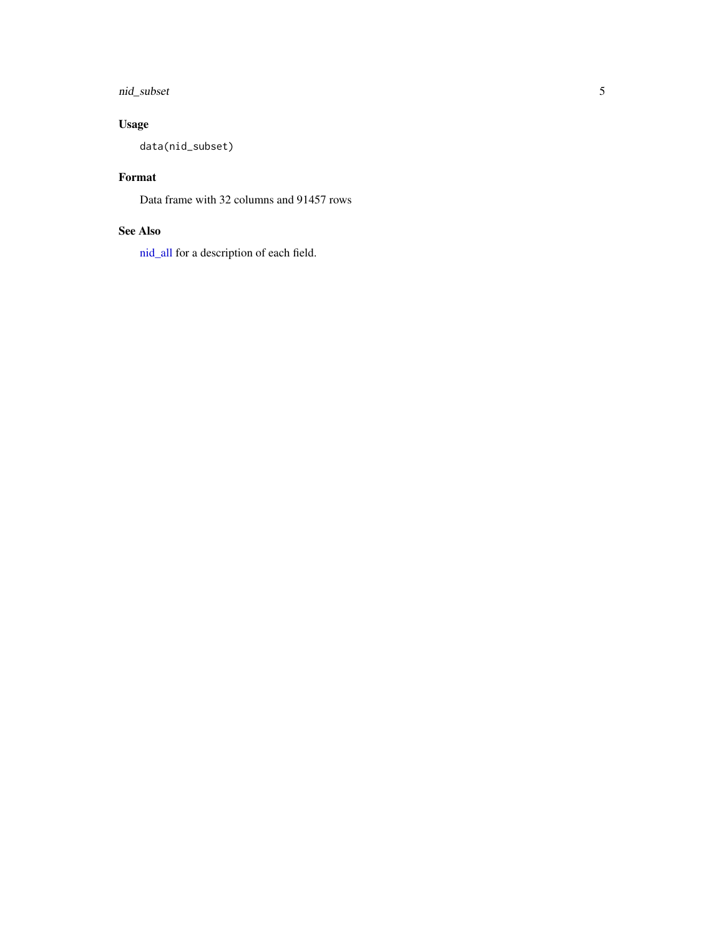#### <span id="page-4-0"></span>nid\_subset 5

#### Usage

data(nid\_subset)

#### Format

Data frame with 32 columns and 91457 rows

#### See Also

[nid\\_all](#page-2-1) for a description of each field.